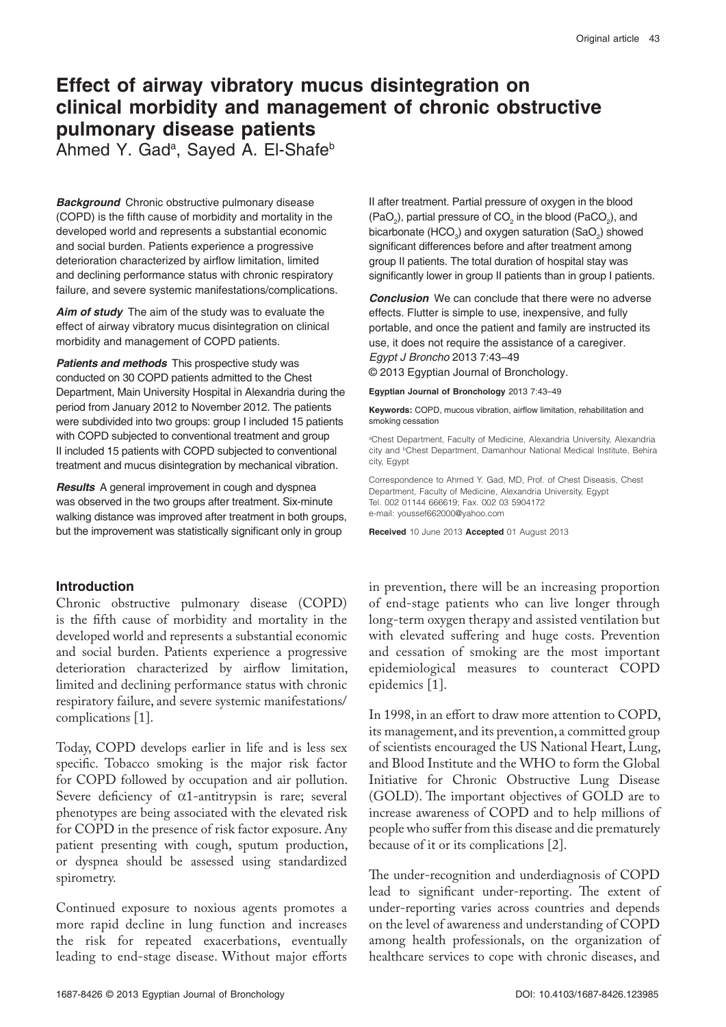# **Effect of airway vibratory mucus disintegration on clinical morbidity and management of chronic obstructive pulmonary disease patients**

Ahmed Y. Gad<sup>a</sup>, Sayed A. El-Shafe<sup>b</sup>

**Background** Chronic obstructive pulmonary disease (COPD) is the fifth cause of morbidity and mortality in the developed world and represents a substantial economic and social burden. Patients experience a progressive deterioration characterized by airflow limitation, limited and declining performance status with chronic respiratory failure, and severe systemic manifestations/complications.

**Aim of study** The aim of the study was to evaluate the effect of airway vibratory mucus disintegration on clinical morbidity and management of COPD patients.

**Patients and methods** This prospective study was conducted on 30 COPD patients admitted to the Chest Department, Main University Hospital in Alexandria during the period from January 2012 to November 2012. The patients were subdivided into two groups: group I included 15 patients with COPD subjected to conventional treatment and group II included 15 patients with COPD subjected to conventional treatment and mucus disintegration by mechanical vibration.

**Results** A general improvement in cough and dyspnea was observed in the two groups after treatment. Six-minute walking distance was improved after treatment in both groups, but the improvement was statistically significant only in group

# **Introduction**

Chronic obstructive pulmonary disease (COPD) is the fifth cause of morbidity and mortality in the developed world and represents a substantial economic and social burden. Patients experience a progressive deterioration characterized by airflow limitation, limited and declining performance status with chronic respiratory failure, and severe systemic manifestations/ complications [1].

Today, COPD develops earlier in life and is less sex specific. Tobacco smoking is the major risk factor for COPD followed by occupation and air pollution. Severe deficiency of  $\alpha$ 1-antitrypsin is rare; several phenotypes are being associated with the elevated risk for COPD in the presence of risk factor exposure. Any patient presenting with cough, sputum production, or dyspnea should be assessed using standardized spirometry.

Continued exposure to noxious agents promotes a more rapid decline in lung function and increases the risk for repeated exacerbations, eventually leading to end-stage disease. Without major efforts II after treatment. Partial pressure of oxygen in the blood (PaO<sub>2</sub>), partial pressure of CO<sub>2</sub> in the blood (PaCO<sub>2</sub>), and bicarbonate (HCO<sub>3</sub>) and oxygen saturation (SaO<sub>2</sub>) showed significant differences before and after treatment among group II patients. The total duration of hospital stay was significantly lower in group II patients than in group I patients.

**Conclusion** We can conclude that there were no adverse effects. Flutter is simple to use, inexpensive, and fully portable, and once the patient and family are instructed its use, it does not require the assistance of a caregiver. *Egypt J Broncho* 2013 7:43–49

© 2013 Egyptian Journal of Bronchology.

**Egyptian Journal of Bronchology** 2013 7:43–49

**Keywords:** COPD, mucous vibration, airflow limitation, rehabilitation and smoking cessation

<sup>a</sup>Chest Department, Faculty of Medicine, Alexandria University, Alexandria city and <sup>b</sup>Chest Department, Damanhour National Medical Institute, Behira city, Egypt

Correspondence to Ahmed Y. Gad, MD, Prof. of Chest Diseasis, Chest Department, Faculty of Medicine, Alexandria University, Egypt Tel. 002 01144 666619; Fax. 002 03 5904172 e-mail: youssef662000@yahoo.com

**Received** 10 June 2013 **Accepted** 01 August 2013

in prevention, there will be an increasing proportion of end-stage patients who can live longer through long-term oxygen therapy and assisted ventilation but with elevated suffering and huge costs. Prevention and cessation of smoking are the most important epidemiological measures to counteract COPD epidemics [1].

In 1998, in an effort to draw more attention to COPD, its management, and its prevention, a committed group of scientists encouraged the US National Heart, Lung, and Blood Institute and the WHO to form the Global Initiative for Chronic Obstructive Lung Disease (GOLD). The important objectives of GOLD are to increase awareness of COPD and to help millions of people who suffer from this disease and die prematurely because of it or its complications [2].

The under-recognition and underdiagnosis of COPD lead to significant under-reporting. The extent of under-reporting varies across countries and depends on the level of awareness and understanding of COPD among health professionals, on the organization of healthcare services to cope with chronic diseases, and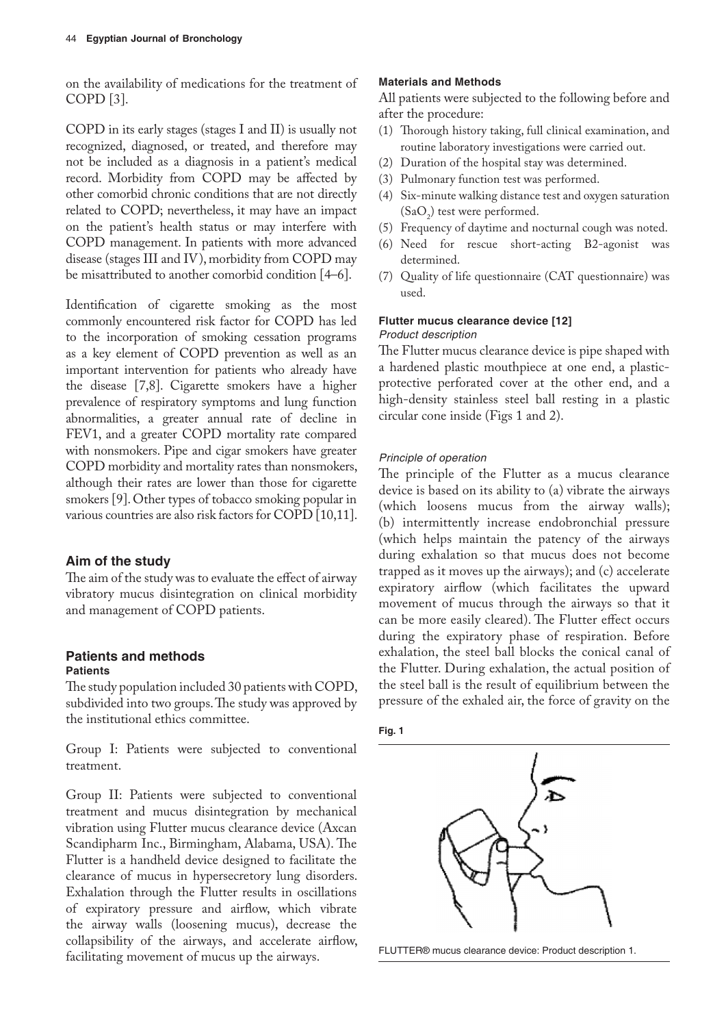on the availability of medications for the treatment of COPD [3].

COPD in its early stages (stages I and II) is usually not recognized, diagnosed, or treated, and therefore may not be included as a diagnosis in a patient's medical record. Morbidity from COPD may be affected by other comorbid chronic conditions that are not directly related to COPD; nevertheless, it may have an impact on the patient's health status or may interfere with COPD management. In patients with more advanced disease (stages III and IV), morbidity from COPD may be misattributed to another comorbid condition [4–6].

Identification of cigarette smoking as the most commonly encountered risk factor for COPD has led to the incorporation of smoking cessation programs as a key element of COPD prevention as well as an important intervention for patients who already have the disease [7,8]. Cigarette smokers have a higher prevalence of respiratory symptoms and lung function abnormalities, a greater annual rate of decline in FEV1, and a greater COPD mortality rate compared with nonsmokers. Pipe and cigar smokers have greater COPD morbidity and mortality rates than nonsmokers, although their rates are lower than those for cigarette smokers [9]. Other types of tobacco smoking popular in various countries are also risk factors for COPD [10,11].

## **Aim of the study**

The aim of the study was to evaluate the effect of airway vibratory mucus disintegration on clinical morbidity and management of COPD patients.

#### **Patients and methods Patients**

The study population included 30 patients with COPD, subdivided into two groups. The study was approved by the institutional ethics committee.

Group I: Patients were subjected to conventional treatment.

Group II: Patients were subjected to conventional treatment and mucus disintegration by mechanical vibration using Flutter mucus clearance device (Axcan Scandipharm Inc., Birmingham, Alabama, USA). The Flutter is a handheld device designed to facilitate the clearance of mucus in hypersecretory lung disorders. Exhalation through the Flutter results in oscillations of expiratory pressure and airflow, which vibrate the airway walls (loosening mucus), decrease the collapsibility of the airways, and accelerate airflow, FLUTTER® mucus clearance device: Product description 1.<br>
FLUTTER® mucus clearance device: Product description 1.

#### **Materials and Methods**

All patients were subjected to the following before and after the procedure:

- (1) Thorough history taking, full clinical examination, and routine laboratory investigations were carried out.
- (2) Duration of the hospital stay was determined.
- (3) Pulmonary function test was performed.
- (4) Six-minute walking distance test and oxygen saturation  $(SaO<sub>2</sub>)$  test were performed.
- (5) Frequency of daytime and nocturnal cough was noted.
- (6) Need for rescue short-acting B2-agonist was determined.
- (7) Quality of life questionnaire (CAT questionnaire) was used.

#### **Flutter mucus clearance device [12]** *Product description*

The Flutter mucus clearance device is pipe shaped with a hardened plastic mouthpiece at one end, a plasticprotective perforated cover at the other end, and a high-density stainless steel ball resting in a plastic circular cone inside (Figs 1 and 2).

#### *Principle of operation*

The principle of the Flutter as a mucus clearance device is based on its ability to (a) vibrate the airways (which loosens mucus from the airway walls); (b) intermittently increase endobronchial pressure (which helps maintain the patency of the airways during exhalation so that mucus does not become trapped as it moves up the airways); and (c) accelerate expiratory airflow (which facilitates the upward movement of mucus through the airways so that it can be more easily cleared). The Flutter effect occurs during the expiratory phase of respiration. Before exhalation, the steel ball blocks the conical canal of the Flutter. During exhalation, the actual position of the steel ball is the result of equilibrium between the pressure of the exhaled air, the force of gravity on the



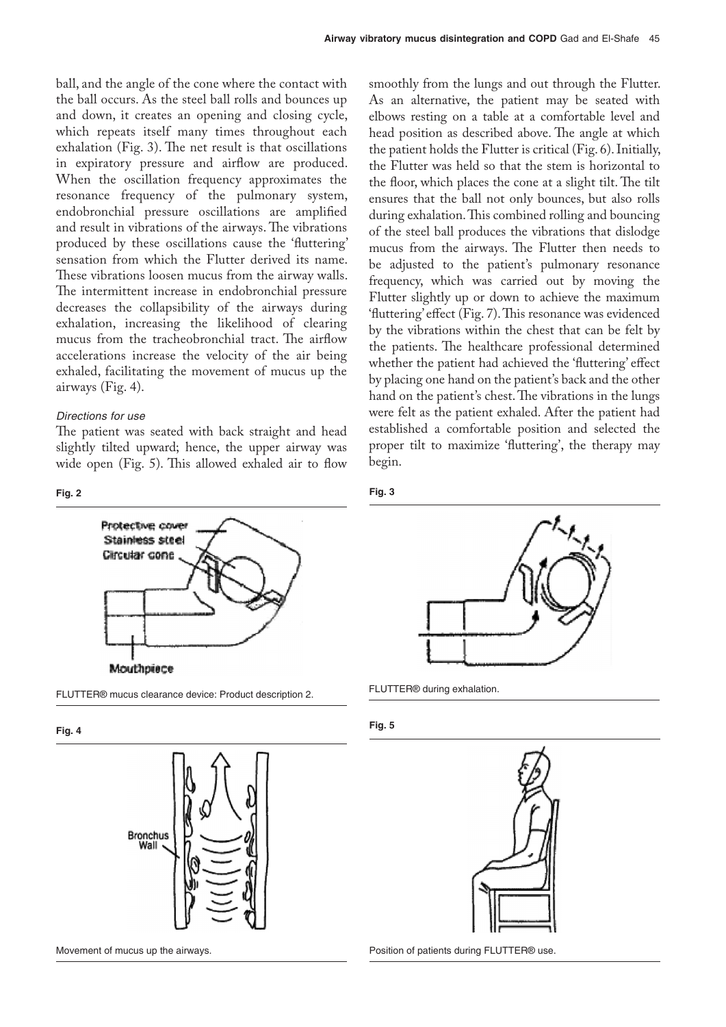ball, and the angle of the cone where the contact with the ball occurs. As the steel ball rolls and bounces up and down, it creates an opening and closing cycle, which repeats itself many times throughout each exhalation (Fig. 3). The net result is that oscillations in expiratory pressure and airflow are produced. When the oscillation frequency approximates the resonance frequency of the pulmonary system, endobronchial pressure oscillations are amplified and result in vibrations of the airways. The vibrations produced by these oscillations cause the 'fluttering' sensation from which the Flutter derived its name. These vibrations loosen mucus from the airway walls. The intermittent increase in endobronchial pressure decreases the collapsibility of the airways during exhalation, increasing the likelihood of clearing mucus from the tracheobronchial tract. The airflow accelerations increase the velocity of the air being exhaled, facilitating the movement of mucus up the airways (Fig. 4).

#### *Directions for use*

**Fig. 2**

The patient was seated with back straight and head slightly tilted upward; hence, the upper airway was wide open (Fig. 5). This allowed exhaled air to flow smoothly from the lungs and out through the Flutter. As an alternative, the patient may be seated with elbows resting on a table at a comfortable level and head position as described above. The angle at which the patient holds the Flutter is critical (Fig. 6). Initially, the Flutter was held so that the stem is horizontal to the floor, which places the cone at a slight tilt. The tilt ensures that the ball not only bounces, but also rolls during exhalation. This combined rolling and bouncing of the steel ball produces the vibrations that dislodge mucus from the airways. The Flutter then needs to be adjusted to the patient's pulmonary resonance frequency, which was carried out by moving the Flutter slightly up or down to achieve the maximum 'fluttering' effect (Fig. 7). This resonance was evidenced by the vibrations within the chest that can be felt by the patients. The healthcare professional determined whether the patient had achieved the 'fluttering' effect by placing one hand on the patient's back and the other hand on the patient's chest. The vibrations in the lungs were felt as the patient exhaled. After the patient had established a comfortable position and selected the proper tilt to maximize 'fluttering', the therapy may begin.





FLUTTER® mucus clearance device: Product description 2.

**Fig. 4**







FLUTTER® during exhalation.

**Fig. 5**



Position of patients during FLUTTER® use.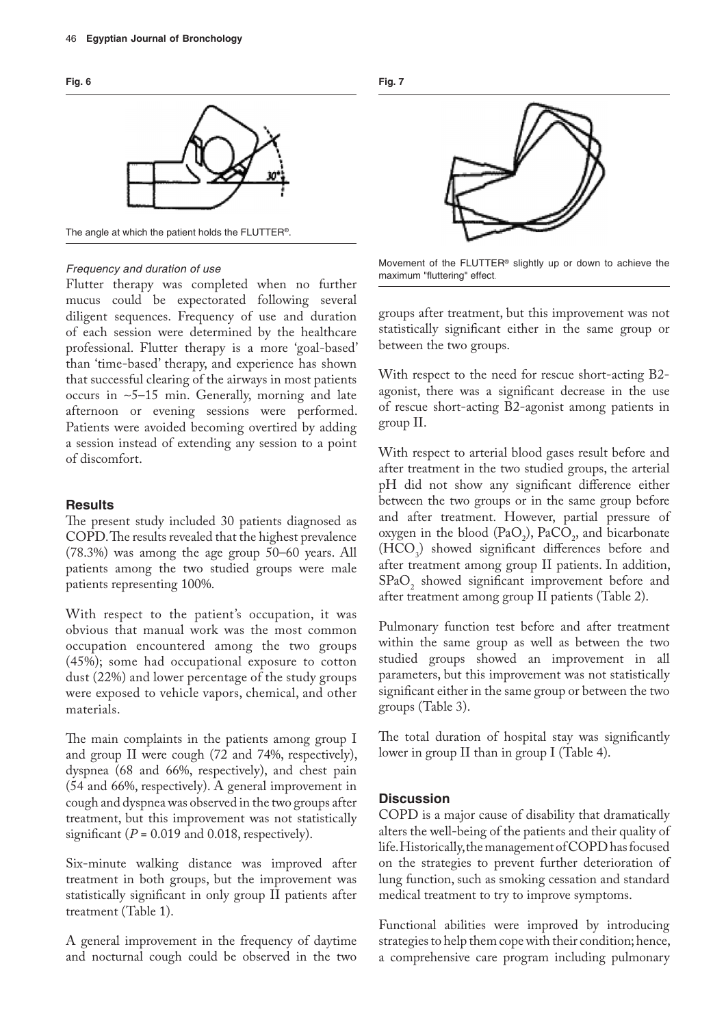

The angle at which the patient holds the FLUTTER®.

#### *Frequency and duration of use*

Flutter therapy was completed when no further mucus could be expectorated following several diligent sequences. Frequency of use and duration of each session were determined by the healthcare professional. Flutter therapy is a more 'goal-based' than 'time-based' therapy, and experience has shown that successful clearing of the airways in most patients occurs in ∼5–15 min. Generally, morning and late afternoon or evening sessions were performed. Patients were avoided becoming overtired by adding a session instead of extending any session to a point of discomfort.

#### **Results**

The present study included 30 patients diagnosed as COPD. The results revealed that the highest prevalence (78.3%) was among the age group 50–60 years. All patients among the two studied groups were male patients representing 100%.

With respect to the patient's occupation, it was obvious that manual work was the most common occupation encountered among the two groups (45%); some had occupational exposure to cotton dust (22%) and lower percentage of the study groups were exposed to vehicle vapors, chemical, and other materials.

The main complaints in the patients among group I and group II were cough (72 and 74%, respectively), dyspnea (68 and 66%, respectively), and chest pain (54 and 66%, respectively). A general improvement in cough and dyspnea was observed in the two groups after treatment, but this improvement was not statistically significant ( $P = 0.019$  and 0.018, respectively).

Six-minute walking distance was improved after treatment in both groups, but the improvement was statistically significant in only group II patients after treatment (Table 1).

A general improvement in the frequency of daytime and nocturnal cough could be observed in the two **Fig. 7**



Movement of the FLUTTER® slightly up or down to achieve the maximum "fluttering" effect.

groups after treatment, but this improvement was not statistically significant either in the same group or between the two groups.

With respect to the need for rescue short-acting B2 agonist, there was a significant decrease in the use of rescue short-acting B2-agonist among patients in group II.

With respect to arterial blood gases result before and after treatment in the two studied groups, the arterial pH did not show any significant difference either between the two groups or in the same group before and after treatment. However, partial pressure of oxygen in the blood  $(\text{PaO}_2)$ ,  $\text{PaCO}_2$ , and bicarbonate  $(HCO<sub>3</sub>)$  showed significant differences before and after treatment among group II patients. In addition,  $\text{SPaO}_2$  showed significant improvement before and after treatment among group II patients (Table 2).

Pulmonary function test before and after treatment within the same group as well as between the two studied groups showed an improvement in all parameters, but this improvement was not statistically significant either in the same group or between the two groups (Table 3).

The total duration of hospital stay was significantly lower in group II than in group I (Table 4).

#### **Discussion**

COPD is a major cause of disability that dramatically alters the well-being of the patients and their quality of life. Historically, the management of COPD has focused on the strategies to prevent further deterioration of lung function, such as smoking cessation and standard medical treatment to try to improve symptoms.

Functional abilities were improved by introducing strategies to help them cope with their condition; hence, a comprehensive care program including pulmonary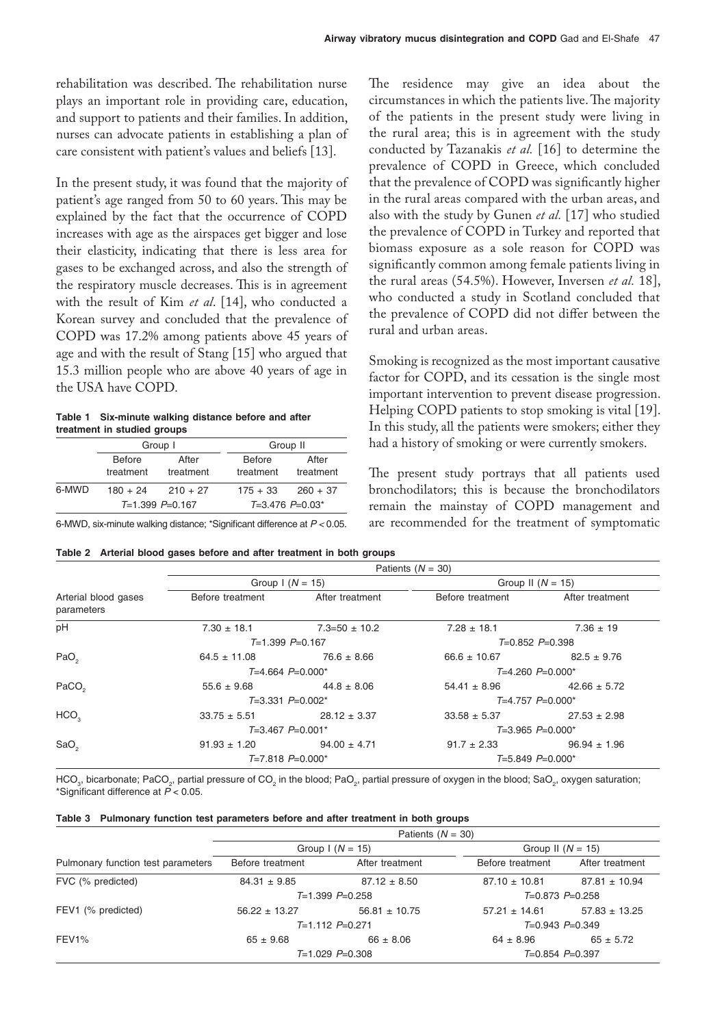rehabilitation was described. The rehabilitation nurse plays an important role in providing care, education, and support to patients and their families. In addition, nurses can advocate patients in establishing a plan of care consistent with patient's values and beliefs [13].

In the present study, it was found that the majority of patient's age ranged from 50 to 60 years. This may be explained by the fact that the occurrence of COPD increases with age as the airspaces get bigger and lose their elasticity, indicating that there is less area for gases to be exchanged across, and also the strength of the respiratory muscle decreases. This is in agreement with the result of Kim *et al*. [14], who conducted a Korean survey and concluded that the prevalence of COPD was 17.2% among patients above 45 years of age and with the result of Stang [15] who argued that 15.3 million people who are above 40 years of age in the USA have COPD.

**Table 1 Six-minute walking distance before and after treatment in studied groups**

|            |            | Group II                       |                     |
|------------|------------|--------------------------------|---------------------|
| Before     | After      | <b>Before</b>                  | After               |
| treatment  | treatment  | treatment                      | treatment           |
| $180 + 24$ | $210 + 27$ | $175 + 33$                     | $260 + 37$          |
|            |            |                                | $T=3.476$ $P=0.03*$ |
|            |            | Group I<br>$T=1.399$ $P=0.167$ |                     |

6-MWD, six-minute walking distance; \*Significant difference at *P <* 0.05.

The residence may give an idea about the circumstances in which the patients live. The majority of the patients in the present study were living in the rural area; this is in agreement with the study conducted by Tazanakis *et al.* [16] to determine the prevalence of COPD in Greece, which concluded that the prevalence of COPD was significantly higher in the rural areas compared with the urban areas, and also with the study by Gunen *et al.* [17] who studied the prevalence of COPD in Turkey and reported that biomass exposure as a sole reason for COPD was significantly common among female patients living in the rural areas (54.5%). However, Inversen *et al.* 18], who conducted a study in Scotland concluded that the prevalence of COPD did not differ between the rural and urban areas.

Smoking is recognized as the most important causative factor for COPD, and its cessation is the single most important intervention to prevent disease progression. Helping COPD patients to stop smoking is vital [19]. In this study, all the patients were smokers; either they had a history of smoking or were currently smokers.

The present study portrays that all patients used bronchodilators; this is because the bronchodilators remain the mainstay of COPD management and are recommended for the treatment of symptomatic

|  | Table 2 Arterial blood gases before and after treatment in both groups |  |  |  |  |  |  |
|--|------------------------------------------------------------------------|--|--|--|--|--|--|
|--|------------------------------------------------------------------------|--|--|--|--|--|--|

|                                    | Patients $(N = 30)$   |                     |                      |                    |  |  |  |  |
|------------------------------------|-----------------------|---------------------|----------------------|--------------------|--|--|--|--|
|                                    | Group $1(N = 15)$     |                     | Group II $(N = 15)$  |                    |  |  |  |  |
| Arterial blood gases<br>parameters | Before treatment      | After treatment     | Before treatment     | After treatment    |  |  |  |  |
| pH                                 | $7.30 \pm 18.1$       | $7.3 = 50 \pm 10.2$ | $7.28 \pm 18.1$      | $7.36 \pm 19$      |  |  |  |  |
|                                    | $T=1.399$ $P=0.167$   |                     | $T=0.852 P=0.398$    |                    |  |  |  |  |
| PaO <sub>2</sub>                   | $64.5 \pm 11.08$      | $76.6 \pm 8.66$     | $66.6 \pm 10.67$     | $82.5 \pm 9.76$    |  |  |  |  |
|                                    | $T=4.664$ $P=0.000*$  |                     | $T=4.260 P=0.000*$   |                    |  |  |  |  |
| PaCO <sub>2</sub>                  | $55.6 \pm 9.68$       | $44.8 \pm 8.06$     | $54.41 \pm 8.96$     | $42.66 \pm 5.72$   |  |  |  |  |
|                                    | $T=3.331$ $P=0.002$ * |                     | $T=4.757 P=0.000*$   |                    |  |  |  |  |
| HCO <sub>3</sub>                   | $33.75 \pm 5.51$      | $28.12 \pm 3.37$    | $33.58 \pm 5.37$     | $27.53 \pm 2.98$   |  |  |  |  |
|                                    | $T=3.467 P=0.001*$    |                     | $T=3.965$ $P=0.000*$ |                    |  |  |  |  |
| SaO <sub>2</sub>                   | $91.93 \pm 1.20$      | $94.00 \pm 4.71$    | $91.7 \pm 2.33$      | $96.94 \pm 1.96$   |  |  |  |  |
|                                    | $T=7.818 P=0.000*$    |                     |                      | $T=5.849 P=0.000*$ |  |  |  |  |

HCO $_{_3}$ , bicarbonate; PaCO $_{_2}$ , partial pressure of CO $_{2}$  in the blood; PaO $_{2}$ , partial pressure of oxygen in the blood; SaO $_{_2}$ , oxygen saturation; \*Significant difference at *P* < 0.05.

|  | Table 3 Pulmonary function test parameters before and after treatment in both groups |  |  |  |  |  |  |  |  |  |  |
|--|--------------------------------------------------------------------------------------|--|--|--|--|--|--|--|--|--|--|
|--|--------------------------------------------------------------------------------------|--|--|--|--|--|--|--|--|--|--|

|                                    | Patients $(N = 30)$ |                     |                     |                   |  |  |  |
|------------------------------------|---------------------|---------------------|---------------------|-------------------|--|--|--|
|                                    |                     | Group $1 (N = 15)$  | Group II $(N = 15)$ |                   |  |  |  |
| Pulmonary function test parameters | Before treatment    | After treatment     | Before treatment    | After treatment   |  |  |  |
| FVC (% predicted)                  | $84.31 \pm 9.85$    | $87.12 \pm 8.50$    | $87.10 \pm 10.81$   | $87.81 \pm 10.94$ |  |  |  |
|                                    |                     | $T=1.399 P=0.258$   | $T=0.873$ $P=0.258$ |                   |  |  |  |
| FEV1 (% predicted)                 | $56.22 \pm 13.27$   | $56.81 \pm 10.75$   | $57.21 \pm 14.61$   | $57.83 \pm 13.25$ |  |  |  |
|                                    |                     | $T=1.112$ $P=0.271$ | $T=0.943$ $P=0.349$ |                   |  |  |  |
| FEV <sub>1</sub> %                 | $65 \pm 9.68$       | $66 \pm 8.06$       | $64 \pm 8.96$       | $65 \pm 5.72$     |  |  |  |
|                                    |                     | $T=1.029$ $P=0.308$ | $T=0.854$ $P=0.397$ |                   |  |  |  |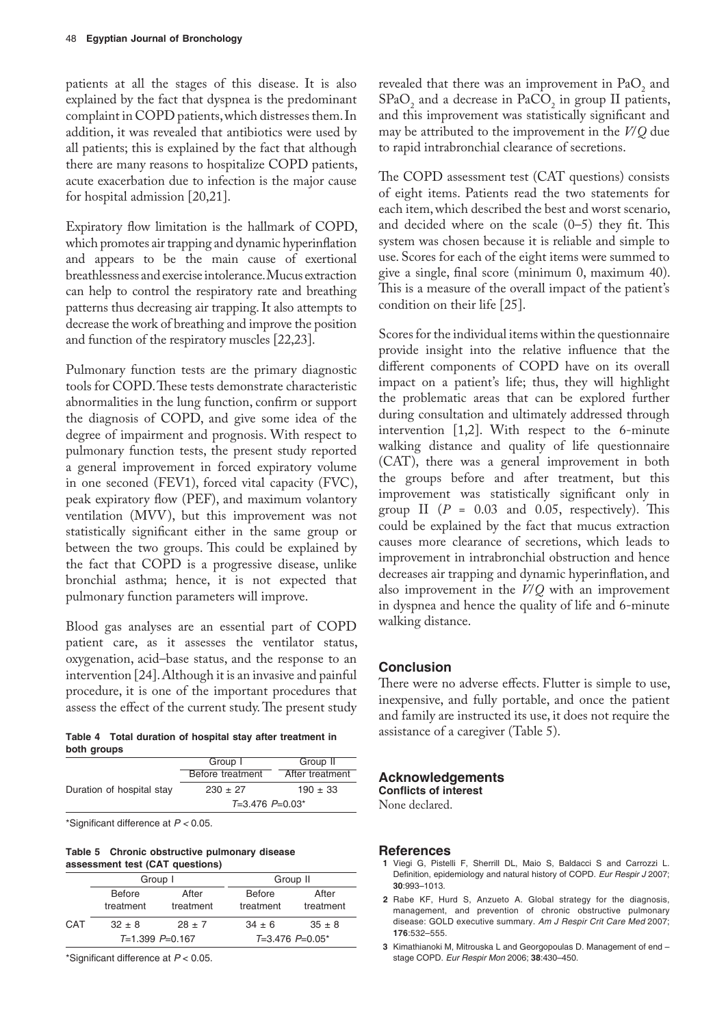patients at all the stages of this disease. It is also explained by the fact that dyspnea is the predominant complaint in COPD patients, which distresses them. In addition, it was revealed that antibiotics were used by all patients; this is explained by the fact that although there are many reasons to hospitalize COPD patients, acute exacerbation due to infection is the major cause for hospital admission [20,21].

Expiratory flow limitation is the hallmark of COPD, which promotes air trapping and dynamic hyperinflation and appears to be the main cause of exertional breathlessness and exercise intolerance. Mucus extraction can help to control the respiratory rate and breathing patterns thus decreasing air trapping. It also attempts to decrease the work of breathing and improve the position and function of the respiratory muscles [22,23].

Pulmonary function tests are the primary diagnostic tools for COPD. These tests demonstrate characteristic abnormalities in the lung function, confirm or support the diagnosis of COPD, and give some idea of the degree of impairment and prognosis. With respect to pulmonary function tests, the present study reported a general improvement in forced expiratory volume in one seconed (FEV1), forced vital capacity (FVC), peak expiratory flow (PEF), and maximum volantory ventilation (MVV), but this improvement was not statistically significant either in the same group or between the two groups. This could be explained by the fact that COPD is a progressive disease, unlike bronchial asthma; hence, it is not expected that pulmonary function parameters will improve.

Blood gas analyses are an essential part of COPD patient care, as it assesses the ventilator status, oxygenation, acid–base status, and the response to an intervention [24]. Although it is an invasive and painful procedure, it is one of the important procedures that assess the effect of the current study. The present study

**Table 4 Total duration of hospital stay after treatment in both groups**

|                           | Group I           | Group II        |
|---------------------------|-------------------|-----------------|
|                           | Before treatment  | After treatment |
| Duration of hospital stay | $230 \pm 27$      | $190 \pm 33$    |
|                           | $T=3.476 P=0.03*$ |                 |

\*Significant difference at *P <* 0.05.

**Table 5 Chronic obstructive pulmonary disease assessment test (CAT questions)**

|                     | Group I                    |                    | Group II                   |                    |  |  |
|---------------------|----------------------------|--------------------|----------------------------|--------------------|--|--|
|                     | <b>Before</b><br>treatment | After<br>treatment | <b>Before</b><br>treatment | After<br>treatment |  |  |
| <b>CAT</b>          | $32 + 8$                   | $28 \pm 7$         | $34 \pm 6$                 | $35 \pm 8$         |  |  |
| $T=1.399$ $P=0.167$ |                            |                    | $T=3.476$ $P=0.05^*$       |                    |  |  |

\*Significant difference at *P* < 0.05.

revealed that there was an improvement in  $PaO<sub>2</sub>$  and  $SPaO<sub>2</sub>$  and a decrease in PaCO<sub>2</sub> in group II patients, and this improvement was statistically significant and may be attributed to the improvement in the *V*/*Q* due to rapid intrabronchial clearance of secretions.

The COPD assessment test (CAT questions) consists of eight items. Patients read the two statements for each item, which described the best and worst scenario, and decided where on the scale (0–5) they fit. This system was chosen because it is reliable and simple to use. Scores for each of the eight items were summed to give a single, final score (minimum 0, maximum 40). This is a measure of the overall impact of the patient's condition on their life [25].

Scores for the individual items within the questionnaire provide insight into the relative influence that the different components of COPD have on its overall impact on a patient's life; thus, they will highlight the problematic areas that can be explored further during consultation and ultimately addressed through intervention  $[1,2]$ . With respect to the 6-minute walking distance and quality of life questionnaire (CAT), there was a general improvement in both the groups before and after treatment, but this improvement was statistically significant only in group II  $(P = 0.03$  and 0.05, respectively). This could be explained by the fact that mucus extraction causes more clearance of secretions, which leads to improvement in intrabronchial obstruction and hence decreases air trapping and dynamic hyperinflation, and also improvement in the *V*/*Q* with an improvement in dyspnea and hence the quality of life and 6-minute walking distance.

# **Conclusion**

There were no adverse effects. Flutter is simple to use, inexpensive, and fully portable, and once the patient and family are instructed its use, it does not require the assistance of a caregiver (Table 5).

# **Acknowledgements**

**Conflicts of interest**

None declared.

## **References**

- **1** Viegi G, Pistelli F, Sherrill DL, Maio S, Baldacci S and Carrozzi L*.* Definition, epidemiology and natural history of COPD. *Eur Respir J* 2007; **30**:993–1013.
- **2** Rabe KF, Hurd S, Anzueto A. Global strategy for the diagnosis, management, and prevention of chronic obstructive pulmonary disease: GOLD executive summary. *Am J Respir Crit Care Med* 2007; **176**:532–555.
- **3** Kimathianoki M, Mitrouska L and Georgopoulas D. Management of end stage COPD. *Eur Respir Mon* 2006; **38**:430–450.